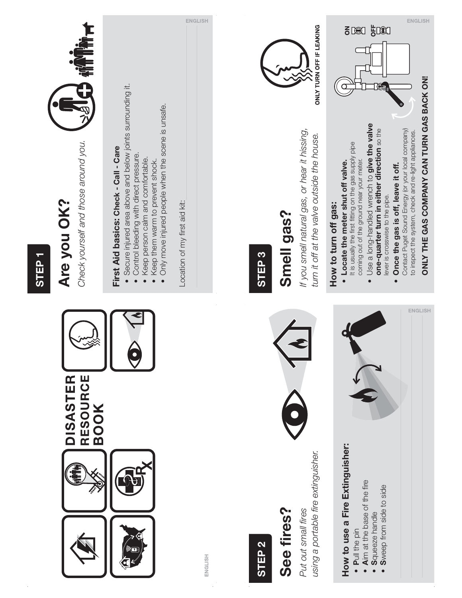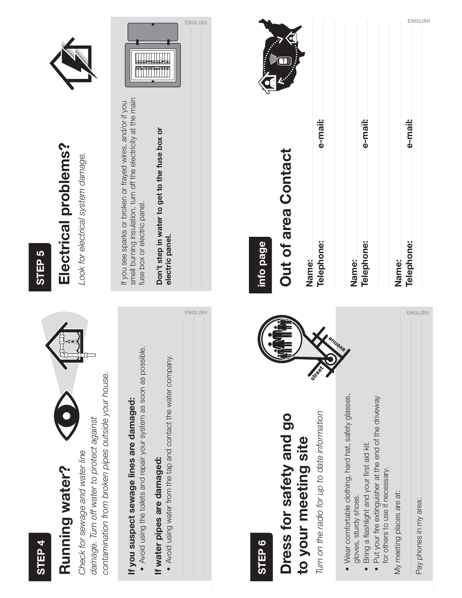#### **STEP 4**

### Running water? **Running water?**

contamination from broken pipes outside your house. contamination from broken pipes outside your house. damage. Turn off water to protect against damage. Turn off water to protect against Check for sewage and water line Check for sewage and water line

# **If you suspect sewage lines are damaged:**  If you suspect sewage lines are damaged:

• Avoid using the toilets and repair your system as soon as possible. t Avoid using the toilets and repair your system as soon as possible.

#### If water pipes are damaged: **If water pipes are damaged:**

 t Avoid using water from the tap and contact the water company. . Avoid using water from the tap and contact the water company.

#### **STEP 5**

## Electrical problems? **Electrical problems?**

Look for electrical system damage. Look for electrical system damage.



smell burning insulation, turn off the electricity at the main smell burning insulation, turn off the electricity at the main If you see sparks or broken or frayed wires, and/or if you If you see sparks or broken or frayed wires, and/or if you fuse box or electric panel. fuse box or electric panel.

**Don't step in water to get to the fuse box or**  Don't step in water to get to the fuse box or **electric panel.**  electric panel.

ENGLISH



#### e-mail: e-mail: e-mail: **Telephone: e-mail: Telephone: e-mail: Telephone: e-mail:**Out of area Contact **Out of area Contact info page** Telephone: Telephone: Telephone: **Name: Name: Name: ENGLISH** • Wear comfortable clothing, hard hat, safety glasses,  $\bullet\,$  Put your fire extinguisher at the end of the driveway · Wear comfortable clothing, hard hat, safety glasses, Put your fire extinguisher at the end of the driveway Turn on the radio for up to date information Turn on the radio for up to date information Dress for safety and go **Dress for safety and go** to your meeting site **to your meeting site** Bring a flashlight and your first aid kit.  $\bullet$  Bring a flashlight and your first aid kit. for others to use if necessary. for others to use if necessary. My meeting places are at: My meeting places are at: gloves, sturdy shoes. gloves, sturdy shoes. Pay phones in my area: Pay phones in my area: **STEP 6**

ENGLISH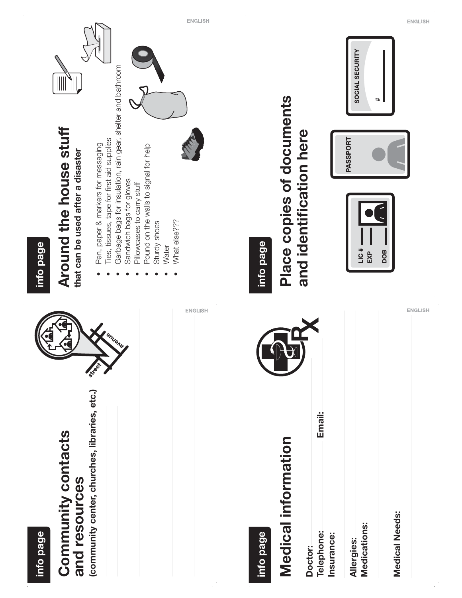| <b>ENGLISH</b>                                                                                                                                                                                                                                                                                                                                                           | <b>ENGLISH</b><br>SOCIAL SECURITY<br>$\ddagger$                                                                                                 |
|--------------------------------------------------------------------------------------------------------------------------------------------------------------------------------------------------------------------------------------------------------------------------------------------------------------------------------------------------------------------------|-------------------------------------------------------------------------------------------------------------------------------------------------|
| Garbage bags for insulation, rain gear, shelter and bathroom<br>Around the house stuff<br>Ties, tissues, tape for first aid supplies<br>Pen, paper & markers for messaging<br>Pound on the walls to signal for help<br>that can be used after a disaster<br>Sandwich bags for gloves<br>Pillowcases to carry stuff<br>What else???<br>Sturdy shoes<br>info page<br>Water | Place copies of documents<br>and identification here<br>PASSPORT<br>info page<br>LIC#<br>EXP<br>DOB                                             |
| <b>ENGLISH</b><br>I enuene<br>Street                                                                                                                                                                                                                                                                                                                                     | <b>ENGLISH</b><br>$\bigoplus$                                                                                                                   |
| (community center, churches, libraries, etc.)<br>Community contacts<br>and resources<br>info page                                                                                                                                                                                                                                                                        | Email:<br>Medical information<br>Medical Needs:<br>Medications:<br><b>Telephone:</b><br>info page<br>Insurance:<br><b>Allergies:</b><br>Doctor: |

 $\mathcal{A}$ 

 $\mathcal{L}_{\mathcal{L}}$ 

 $\frac{1}{2}$